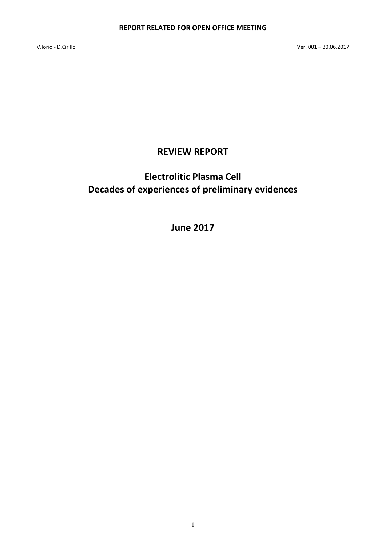V.Iorio - D.Cirillo Ver. 001 – 30.06.2017

# **REVIEW REPORT**

# **Electrolitic Plasma Cell Decades of experiences of preliminary evidences**

**June 2017**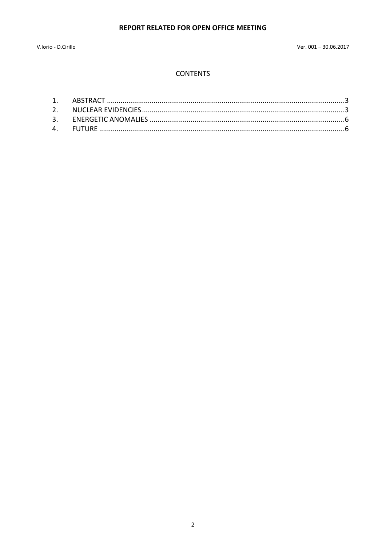### **REPORT RELATED FOR OPEN OFFICE MEETING**

#### **CONTENTS**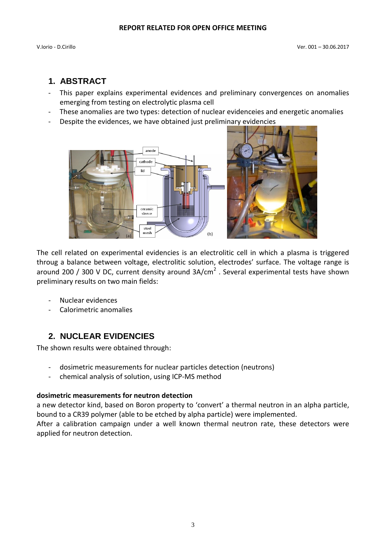### <span id="page-2-0"></span>**1. ABSTRACT**

- This paper explains experimental evidences and preliminary convergences on anomalies emerging from testing on electrolytic plasma cell
- These anomalies are two types: detection of nuclear evidenceies and energetic anomalies
- Despite the evidences, we have obtained just preliminary evidencies



The cell related on experimental evidencies is an electrolitic cell in which a plasma is triggered throug a balance between voltage, electrolitic solution, electrodes' surface. The voltage range is around 200 / 300 V DC, current density around  $3A/cm<sup>2</sup>$  . Several experimental tests have shown preliminary results on two main fields:

- Nuclear evidences
- Calorimetric anomalies

### <span id="page-2-1"></span>**2. NUCLEAR EVIDENCIES**

The shown results were obtained through:

- dosimetric measurements for nuclear particles detection (neutrons)
- chemical analysis of solution, using ICP-MS method

### **dosimetric measurements for neutron detection**

a new detector kind, based on Boron property to 'convert' a thermal neutron in an alpha particle, bound to a CR39 polymer (able to be etched by alpha particle) were implemented.

After a calibration campaign under a well known thermal neutron rate, these detectors were applied for neutron detection.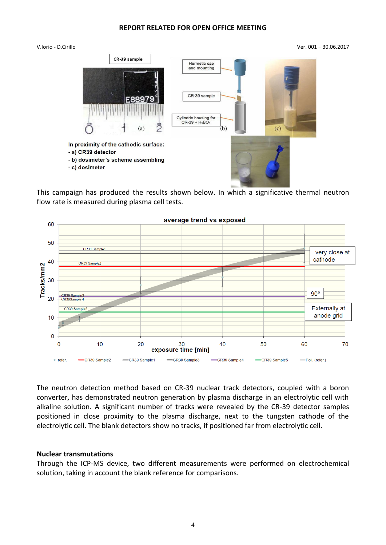#### **REPORT RELATED FOR OPEN OFFICE MEETING**

V.Iorio - D.Cirillo Ver. 001 – 30.06.2017



This campaign has produced the results shown below. In which a significative thermal neutron flow rate is measured during plasma cell tests.



The neutron detection method based on CR-39 nuclear track detectors, coupled with a boron converter, has demonstrated neutron generation by plasma discharge in an electrolytic cell with alkaline solution. A significant number of tracks were revealed by the CR-39 detector samples positioned in close proximity to the plasma discharge, next to the tungsten cathode of the electrolytic cell. The blank detectors show no tracks, if positioned far from electrolytic cell.

#### **Nuclear transmutations**

Through the ICP-MS device, two different measurements were performed on electrochemical solution, taking in account the blank reference for comparisons.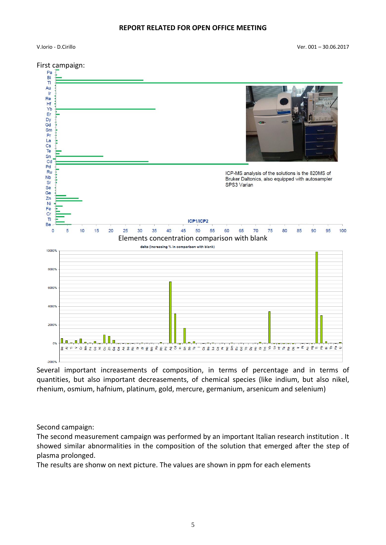V.Iorio - D.Cirillo Ver. 001 – 30.06.2017



Several important increasements of composition, in terms of percentage and in terms of quantities, but also important decreasements, of chemical species (like indium, but also nikel, rhenium, osmium, hafnium, platinum, gold, mercure, germanium, arsenicum and selenium)

Second campaign:

The second measurement campaign was performed by an important Italian research institution . It showed similar abnormalities in the composition of the solution that emerged after the step of plasma prolonged.

The results are shonw on next picture. The values are shown in ppm for each elements